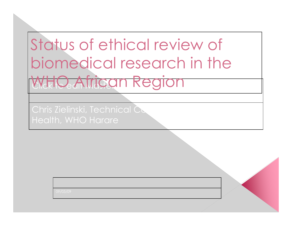# WHO African Region Status of ethical review of biomedical research in the

Chris Zielinski, Technical Co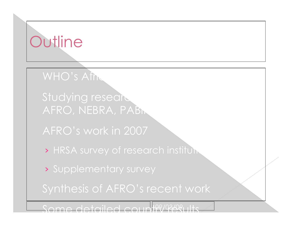### **Outline**

WHO's African

Studying research AFRO, NEBRA, PABIN

AFRO's work in 2007

> HRSA survey of research institum

› Supplementary survey

Synthesis of AFRO's recent work

Some detailed country results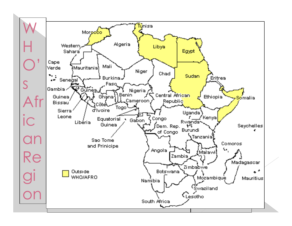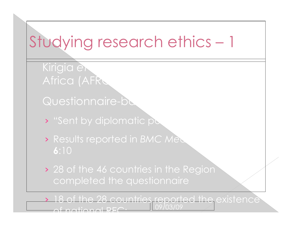Kirigia et Africa (AFRU

Questionnaire-ba

• "Sent by diplomatic pc

› Results reported in *BMC Medical Ethics* 2005, **6**:10

› 28 of the 46 countries in the Region completed the questionnaire

09/03/09 › 18 of the 28 countries reported the existence of national REC: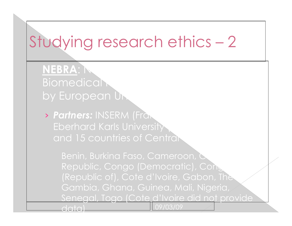**NEBRA: Networking Biomedical** by European Uni

› *Partners:* INSERM (France), MRC (UK), Eberhard Karls University (Germany), Who who has a set of the  $\sim$ and 15 countries of Central

Benin, Burkina Faso, Cameroon, C Republic, Congo (Democratic), Cong (Republic of), Cote d'Ivoire, Gabon, The Gambia, Ghana, Guinea, Mali, Nigeria, Senegal, Togo (Cote d'Ivoire did not provide

data)

09/03/09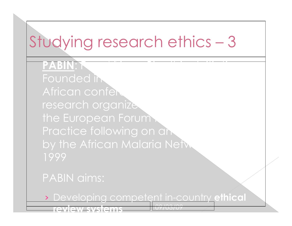**PABIN: P** Founded in African confere research organized the European Forum Practice following on an by the African Malaria Netw 1999

#### PABIN aims:

› Developing competent in-country **ethical** 

09/03/09

| review systems |  |  |
|----------------|--|--|
|                |  |  |
|                |  |  |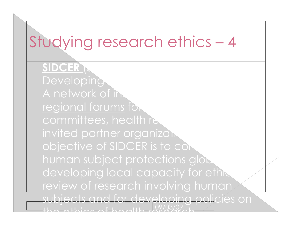**SIDCER** Developing A network of in regional forums for committees, health re. invited partner organizan. objective of SIDCER is to cont human subject protections glob developing local capacity for ethic review of research involving human

09/03/09 ects and for developing policies on the ethics of health research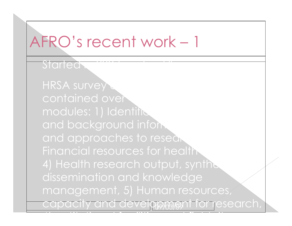#### AFRO's recent work – 1

Started

capacity and develppment for research, HRSA survey contained over modules: 1) Identification and background inform and approaches to resear Financial resources for health 4) Health research output, synthe dissemination and knowledge management, 5) Human resources,

6) tit ti l f iliti d fi ld it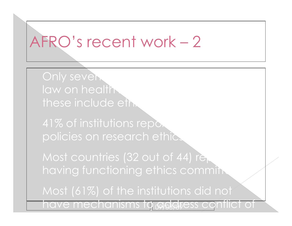#### AFRO's recent work – 2

Only seven. law on health these include eth.

41% of institutions report policies on research ethic

Most countries (32 out of 44) rep having functioning ethics commit

Most (61%) of the institutions did not

have mechanisms to address conflict of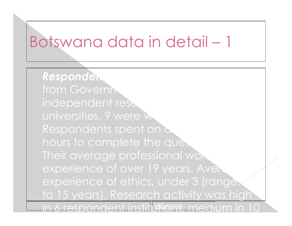#### Botswana data in detail – 1

in 6 respondent institutions, medium in 10 **Respondent** from Governm independent rese universities. 9 were w Respondents spent on a hours to complete the question Their average professional work experience of over 19 years. Aven experience of ethics, under 3 (range) to 15 years). Research activity was high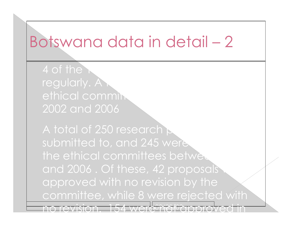#### Botswana data in detail – 2

4 of the regularly. A ethical commit 2002 and 2006

no revision. 154 were møre proved in A total of 250 research  $\triangleright$ submitted to, and 245 were the ethical committees between and 2006. Of these, 42 proposals approved with no revision by the committee, while 8 were rejected with